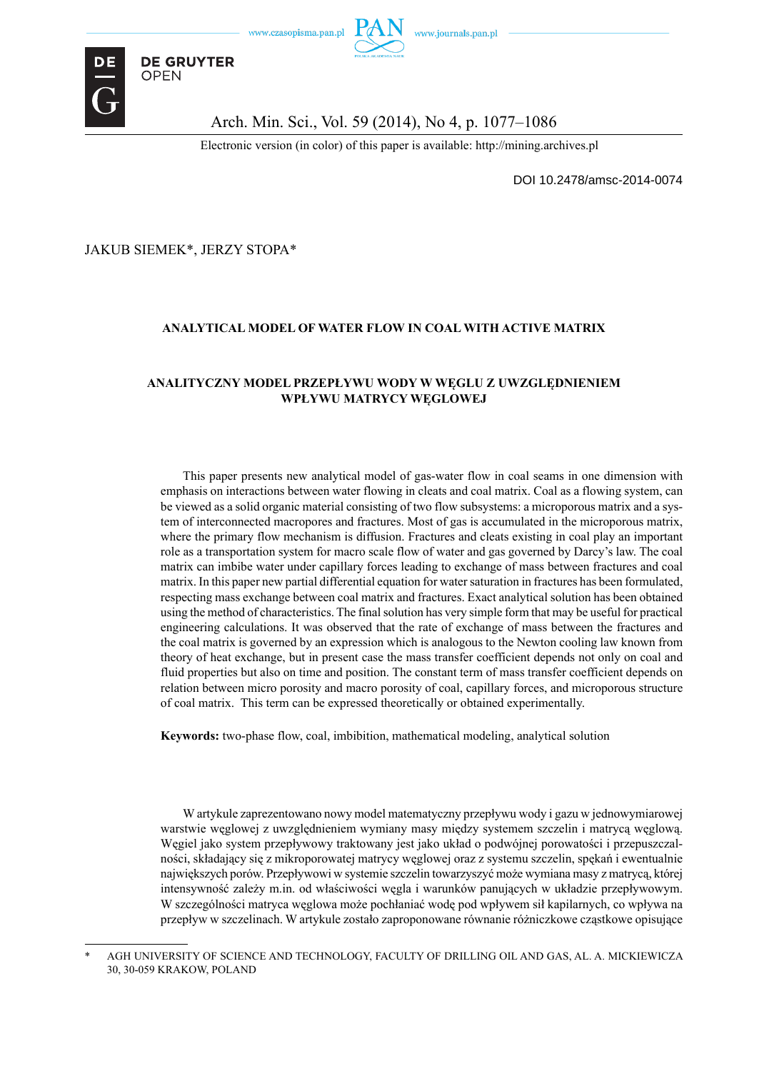

Arch. Min. Sci., Vol. 59 (2014), No 4, p. 1077–1086

Electronic version (in color) of this paper is available: http://mining.archives.pl

DOI 10.2478/amsc-2014-0074

JAKUB SIEMEK\*, JERZY STOPA\*

**DE GRUYTER OPEN** 

#### **ANALYTICAL MODEL OF WATER FLOW IN COAL WITH ACTIVE MATRIX**

#### **ANALITYCZNY MODEL PRZEPŁYWU WODY W WĘGLU Z UWZGLĘDNIENIEM WPŁYWU MATRYCY WĘGLOWEJ**

This paper presents new analytical model of gas-water flow in coal seams in one dimension with emphasis on interactions between water flowing in cleats and coal matrix. Coal as a flowing system, can be viewed as a solid organic material consisting of two flow subsystems: a microporous matrix and a system of interconnected macropores and fractures. Most of gas is accumulated in the microporous matrix, where the primary flow mechanism is diffusion. Fractures and cleats existing in coal play an important role as a transportation system for macro scale flow of water and gas governed by Darcy's law. The coal matrix can imbibe water under capillary forces leading to exchange of mass between fractures and coal matrix. In this paper new partial differential equation for water saturation in fractures has been formulated, respecting mass exchange between coal matrix and fractures. Exact analytical solution has been obtained using the method of characteristics. The final solution has very simple form that may be useful for practical engineering calculations. It was observed that the rate of exchange of mass between the fractures and the coal matrix is governed by an expression which is analogous to the Newton cooling law known from theory of heat exchange, but in present case the mass transfer coefficient depends not only on coal and fluid properties but also on time and position. The constant term of mass transfer coefficient depends on relation between micro porosity and macro porosity of coal, capillary forces, and microporous structure of coal matrix. This term can be expressed theoretically or obtained experimentally.

**Keywords:** two-phase flow, coal, imbibition, mathematical modeling, analytical solution

W artykule zaprezentowano nowy model matematyczny przepływu wody i gazu w jednowymiarowej warstwie węglowej z uwzględnieniem wymiany masy między systemem szczelin i matrycą węglową. Węgiel jako system przepływowy traktowany jest jako układ o podwójnej porowatości i przepuszczalności, składający się z mikroporowatej matrycy węglowej oraz z systemu szczelin, spękań i ewentualnie największych porów. Przepływowi w systemie szczelin towarzyszyć może wymiana masy z matrycą, której intensywność zależy m.in. od właściwości węgla i warunków panujących w układzie przepływowym. W szczególności matryca węglowa może pochłaniać wodę pod wpływem sił kapilarnych, co wpływa na przepływ w szczelinach. W artykule zostało zaproponowane równanie różniczkowe cząstkowe opisujące

AGH UNIVERSITY OF SCIENCE AND TECHNOLOGY, FACULTY OF DRILLING OIL AND GAS, AL. A. MICKIEWICZA 30, 30-059 KRAKOW, POLAND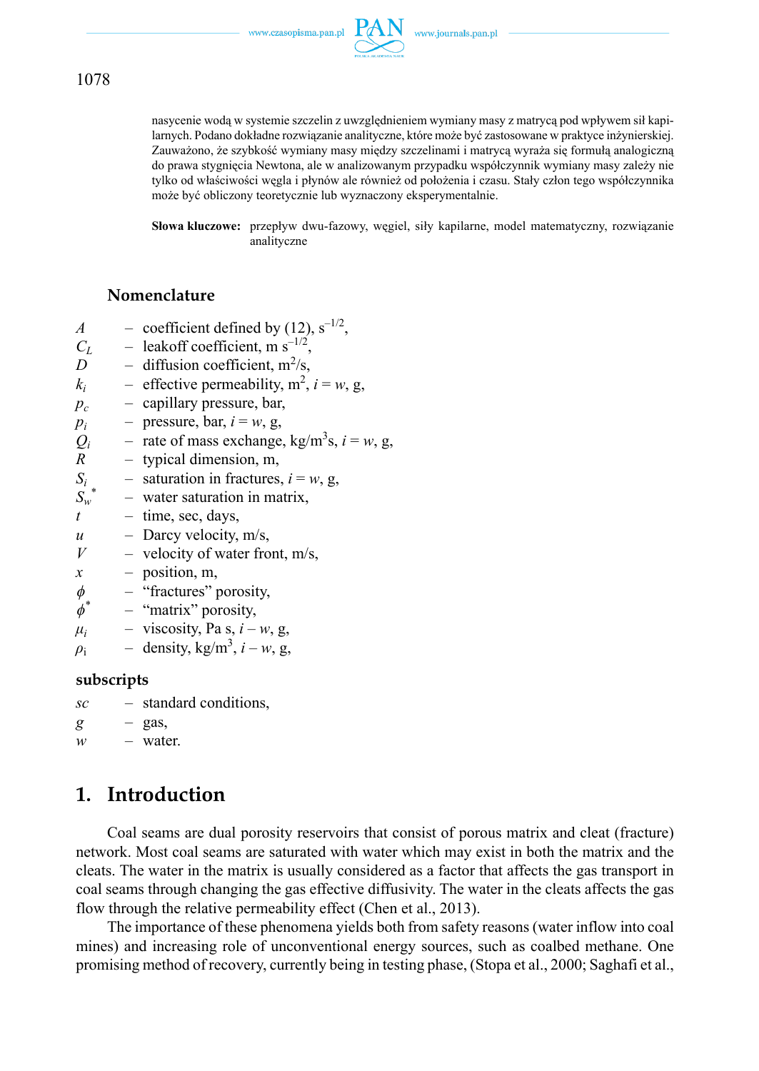

nasycenie wodą w systemie szczelin z uwzględnieniem wymiany masy z matrycą pod wpływem sił kapilarnych. Podano dokładne rozwiązanie analityczne, które może być zastosowane w praktyce inżynierskiej. Zauważono, że szybkość wymiany masy między szczelinami i matrycą wyraża się formułą analogiczną do prawa stygnięcia Newtona, ale w analizowanym przypadku współczynnik wymiany masy zależy nie tylko od właściwości węgla i płynów ale również od położenia i czasu. Stały człon tego współczynnika może być obliczony teoretycznie lub wyznaczony eksperymentalnie.

**Słowa kluczowe:** przepływ dwu-fazowy, węgiel, siły kapilarne, model matematyczny, rozwiązanie analityczne

### **Nomenclature**

- *A* coefficient defined by (12),  $s^{-1/2}$ ,
- $C_L$  leakoff coefficient, m s<sup>-1/2</sup>,<br>*D* diffusion coefficient. m<sup>2</sup>/s.
- *D* diffusion coefficient,  $m^2/s$ ,
- *ki*  $-$  effective permeability,  $m^2$ ,  $i = w$ , g,
- *pc* capillary pressure, bar,
- $p_i$  $-$  pressure, bar,  $i = w$ , g,
- $Q_i$  $-$  rate of mass exchange, kg/m<sup>3</sup>s,  $i = w$ , g,
- *R* typical dimension, m,
- *Si*  $-$  saturation in fractures,  $i = w$ , g,
- $S_w^*$ – water saturation in matrix,
- $t$  time, sec, days,
- *u* Darcy velocity, m/s,
- $V$  velocity of water front, m/s,
- *x* position, m,
- $\phi$  "fractures" porosity,
- $\phi$ – "matrix" porosity,
- *μi*  $-$  viscosity, Pa s,  $i - w$ , g,
- *ρ*i  $-$  density, kg/m<sup>3</sup>,  $i - w$ , g,

#### **subscripts**

- *sc* standard conditions,
- $g$  gas,
- *w* water.

### **1. Introduction**

Coal seams are dual porosity reservoirs that consist of porous matrix and cleat (fracture) network. Most coal seams are saturated with water which may exist in both the matrix and the cleats. The water in the matrix is usually considered as a factor that affects the gas transport in coal seams through changing the gas effective diffusivity. The water in the cleats affects the gas flow through the relative permeability effect (Chen et al., 2013).

The importance of these phenomena yields both from safety reasons (water inflow into coal mines) and increasing role of unconventional energy sources, such as coalbed methane. One promising method of recovery, currently being in testing phase, (Stopa et al., 2000; Saghafi et al.,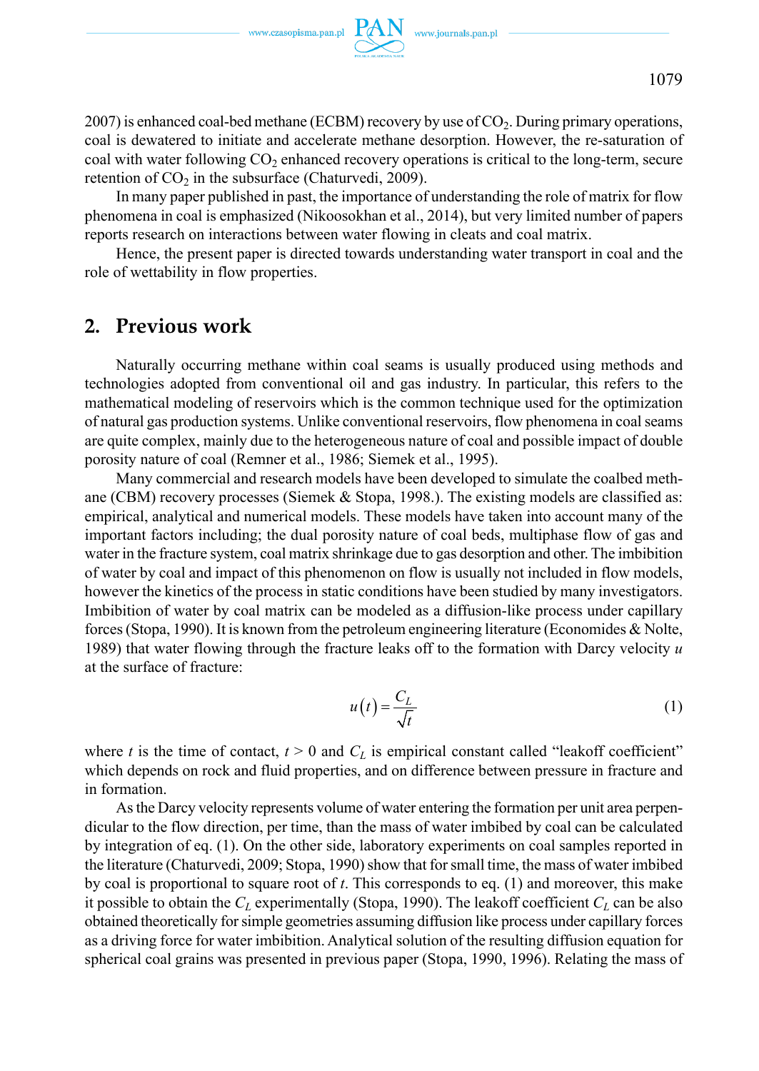$2007$ ) is enhanced coal-bed methane (ECBM) recovery by use of  $CO<sub>2</sub>$ . During primary operations, coal is dewatered to initiate and accelerate methane desorption. However, the re-saturation of coal with water following  $CO<sub>2</sub>$  enhanced recovery operations is critical to the long-term, secure retention of  $CO<sub>2</sub>$  in the subsurface (Chaturvedi, 2009).

In many paper published in past, the importance of understanding the role of matrix for flow phenomena in coal is emphasized (Nikoosokhan et al., 2014), but very limited number of papers reports research on interactions between water flowing in cleats and coal matrix.

Hence, the present paper is directed towards understanding water transport in coal and the role of wettability in flow properties.

## **2. Previous work**

Naturally occurring methane within coal seams is usually produced using methods and technologies adopted from conventional oil and gas industry. In particular, this refers to the mathematical modeling of reservoirs which is the common technique used for the optimization of natural gas production systems. Unlike conventional reservoirs, flow phenomena in coal seams are quite complex, mainly due to the heterogeneous nature of coal and possible impact of double porosity nature of coal (Remner et al., 1986; Siemek et al., 1995).

Many commercial and research models have been developed to simulate the coalbed methane (CBM) recovery processes (Siemek & Stopa, 1998.). The existing models are classified as: empirical, analytical and numerical models. These models have taken into account many of the important factors including; the dual porosity nature of coal beds, multiphase flow of gas and water in the fracture system, coal matrix shrinkage due to gas desorption and other. The imbibition of water by coal and impact of this phenomenon on flow is usually not included in flow models, however the kinetics of the process in static conditions have been studied by many investigators. Imbibition of water by coal matrix can be modeled as a diffusion-like process under capillary forces (Stopa, 1990). It is known from the petroleum engineering literature (Economides & Nolte, 1989) that water flowing through the fracture leaks off to the formation with Darcy velocity *u* at the surface of fracture:

$$
u(t) = \frac{C_L}{\sqrt{t}}\tag{1}
$$

where *t* is the time of contact,  $t > 0$  and  $C<sub>L</sub>$  is empirical constant called "leakoff coefficient" which depends on rock and fluid properties, and on difference between pressure in fracture and in formation.

As the Darcy velocity represents volume of water entering the formation per unit area perpendicular to the flow direction, per time, than the mass of water imbibed by coal can be calculated by integration of eq. (1). On the other side, laboratory experiments on coal samples reported in the literature (Chaturvedi, 2009; Stopa, 1990) show that for small time, the mass of water imbibed by coal is proportional to square root of *t*. This corresponds to eq. (1) and moreover, this make it possible to obtain the  $C_L$  experimentally (Stopa, 1990). The leakoff coefficient  $C_L$  can be also obtained theoretically for simple geometries assuming diffusion like process under capillary forces as a driving force for water imbibition. Analytical solution of the resulting diffusion equation for spherical coal grains was presented in previous paper (Stopa, 1990, 1996). Relating the mass of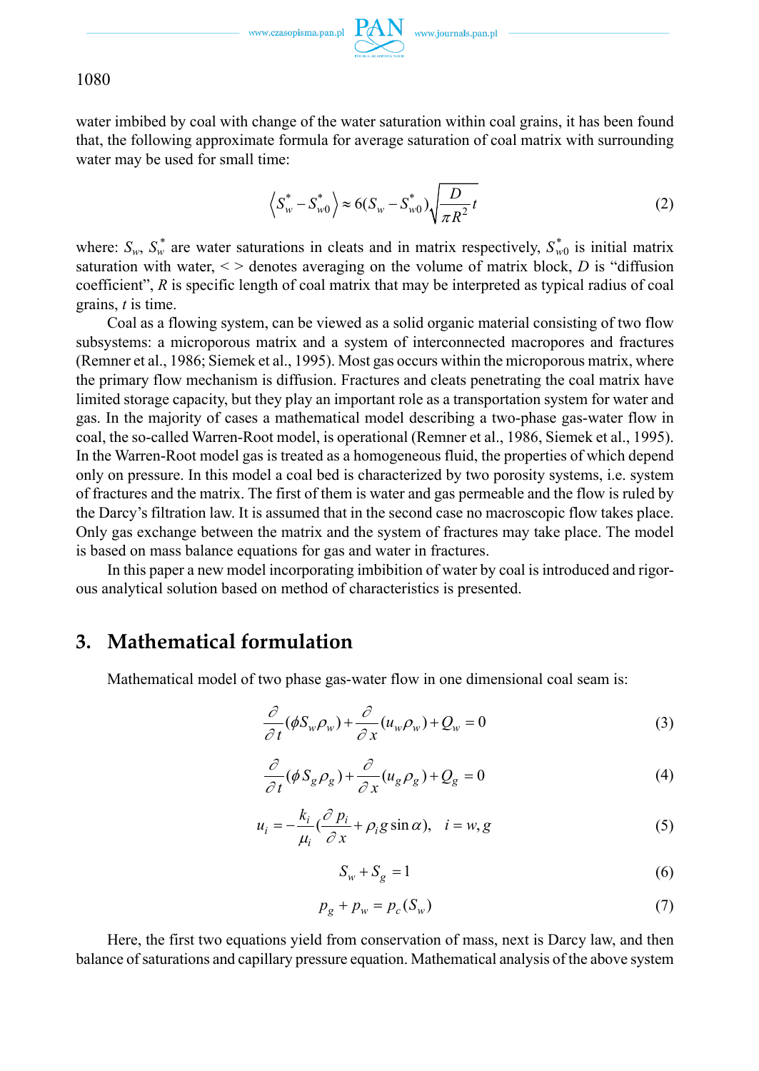1080

water imbibed by coal with change of the water saturation within coal grains, it has been found that, the following approximate formula for average saturation of coal matrix with surrounding water may be used for small time:

$$
\langle S_w^* - S_{w0}^* \rangle \approx 6(S_w - S_{w0}^*) \sqrt{\frac{D}{\pi R^2} t}
$$
 (2)

where:  $S_w$ ,  $S_w^*$  are water saturations in cleats and in matrix respectively,  $S_{w0}^*$  is initial matrix saturation with water,  $\leq$  > denotes averaging on the volume of matrix block, *D* is "diffusion" coefficient", *R* is specific length of coal matrix that may be interpreted as typical radius of coal grains, *t* is time.

Coal as a flowing system, can be viewed as a solid organic material consisting of two flow subsystems: a microporous matrix and a system of interconnected macropores and fractures (Remner et al., 1986; Siemek et al., 1995). Most gas occurs within the microporous matrix, where the primary flow mechanism is diffusion. Fractures and cleats penetrating the coal matrix have limited storage capacity, but they play an important role as a transportation system for water and gas. In the majority of cases a mathematical model describing a two-phase gas-water flow in coal, the so-called Warren-Root model, is operational (Remner et al., 1986, Siemek et al., 1995). In the Warren-Root model gas is treated as a homogeneous fluid, the properties of which depend only on pressure. In this model a coal bed is characterized by two porosity systems, i.e. system of fractures and the matrix. The first of them is water and gas permeable and the flow is ruled by the Darcy's filtration law. It is assumed that in the second case no macroscopic flow takes place. Only gas exchange between the matrix and the system of fractures may take place. The model is based on mass balance equations for gas and water in fractures.

In this paper a new model incorporating imbibition of water by coal is introduced and rigorous analytical solution based on method of characteristics is presented.

# **3. Mathematical formulation**

Mathematical model of two phase gas-water flow in one dimensional coal seam is:

$$
\frac{\partial}{\partial t}(\phi S_w \rho_w) + \frac{\partial}{\partial x}(u_w \rho_w) + Q_w = 0
$$
\n(3)

$$
\frac{\partial}{\partial t}(\phi S_g \rho_g) + \frac{\partial}{\partial x}(u_g \rho_g) + Q_g = 0
$$
\n(4)

$$
u_i = -\frac{k_i}{\mu_i} \left( \frac{\partial p_i}{\partial x} + \rho_i g \sin \alpha \right), \quad i = w, g \tag{5}
$$

$$
S_w + S_g = 1\tag{6}
$$

$$
p_g + p_w = p_c(S_w) \tag{7}
$$

Here, the first two equations yield from conservation of mass, next is Darcy law, and then balance of saturations and capillary pressure equation. Mathematical analysis of the above system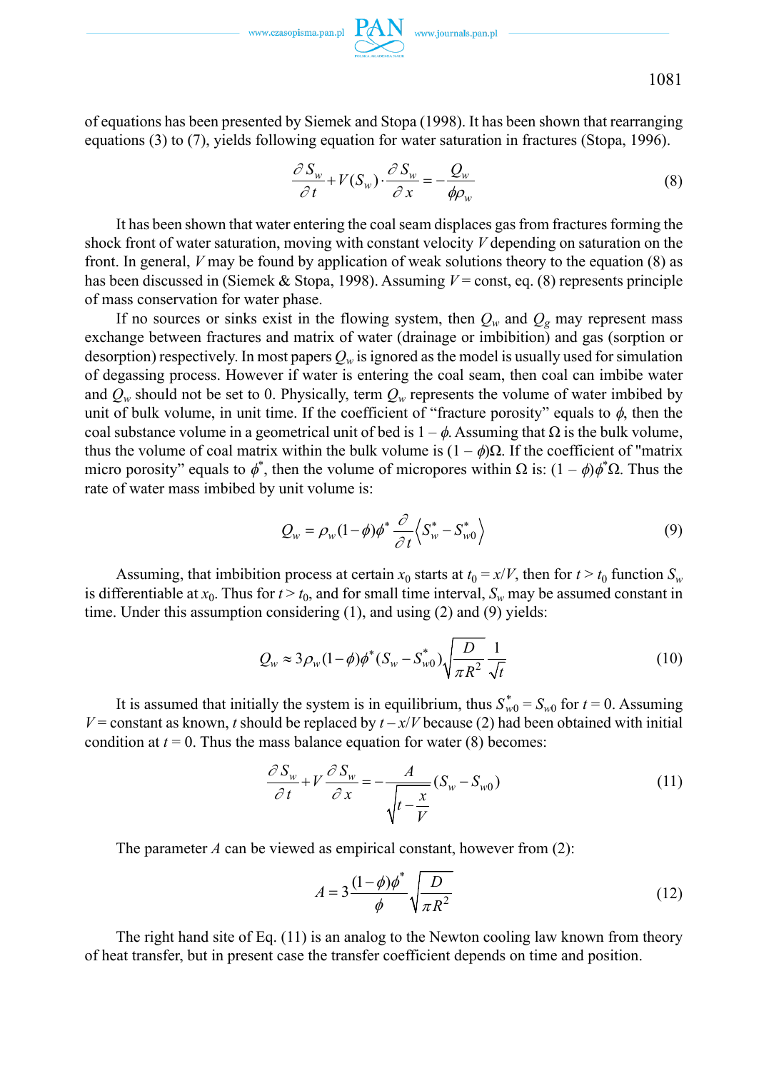$\hspace*{2.5cm}\text{www.czasopisma.pan.pl}\ \underset{\hspace{2.2cm}\longrightarrow\hspace{2.2cm} }{P\hspace{-0.2cm}\not\!\!\!\!\! A N}\quad \text{www.journals.pan.pl}$ 

of equations has been presented by Siemek and Stopa (1998). It has been shown that rearranging equations (3) to (7), yields following equation for water saturation in fractures (Stopa, 1996).

$$
\frac{\partial S_w}{\partial t} + V(S_w) \cdot \frac{\partial S_w}{\partial x} = -\frac{Q_w}{\phi \rho_w}
$$
\n(8)

It has been shown that water entering the coal seam displaces gas from fractures forming the shock front of water saturation, moving with constant velocity *V* depending on saturation on the front. In general, *V* may be found by application of weak solutions theory to the equation (8) as has been discussed in (Siemek & Stopa, 1998). Assuming *V* = const, eq. (8) represents principle of mass conservation for water phase.

If no sources or sinks exist in the flowing system, then  $Q_w$  and  $Q_g$  may represent mass exchange between fractures and matrix of water (drainage or imbibition) and gas (sorption or desorption) respectively. In most papers  $O_w$  is ignored as the model is usually used for simulation of degassing process. However if water is entering the coal seam, then coal can imbibe water and  $Q_w$  should not be set to 0. Physically, term  $Q_w$  represents the volume of water imbibed by unit of bulk volume, in unit time. If the coefficient of "fracture porosity" equals to  $\phi$ , then the coal substance volume in a geometrical unit of bed is  $1 - \phi$ . Assuming that  $\Omega$  is the bulk volume, thus the volume of coal matrix within the bulk volume is  $(1 - φ)Ω$ . If the coefficient of "matrix micro porosity" equals to  $\phi^*$ , then the volume of micropores within  $\Omega$  is:  $(1 - \phi)\phi^*\Omega$ . Thus the rate of water mass imbibed by unit volume is:

$$
Q_w = \rho_w (1 - \phi) \phi^* \frac{\partial}{\partial t} \left\langle S_w^* - S_{w0}^* \right\rangle \tag{9}
$$

Assuming, that imbibition process at certain  $x_0$  starts at  $t_0 = x/V$ , then for  $t > t_0$  function  $S_w$ is differentiable at  $x_0$ . Thus for  $t > t_0$ , and for small time interval,  $S_w$  may be assumed constant in time. Under this assumption considering (1), and using (2) and (9) yields:

$$
Q_w \approx 3\rho_w (1 - \phi) \phi^* (S_w - S_{w0}^*) \sqrt{\frac{D}{\pi R^2}} \frac{1}{\sqrt{t}}
$$
 (10)

It is assumed that initially the system is in equilibrium, thus  $S_{w0}^* = S_{w0}$  for  $t = 0$ . Assuming  $V =$  constant as known, *t* should be replaced by  $t - x/V$  because (2) had been obtained with initial condition at  $t = 0$ . Thus the mass balance equation for water (8) becomes:

$$
\frac{\partial S_w}{\partial t} + V \frac{\partial S_w}{\partial x} = -\frac{A}{\sqrt{t - \frac{x}{V}}} (S_w - S_{w0})
$$
\n(11)

The parameter *A* can be viewed as empirical constant, however from (2):

$$
A = 3\frac{(1-\phi)\phi^*}{\phi}\sqrt{\frac{D}{\pi R^2}}
$$
(12)

The right hand site of Eq. (11) is an analog to the Newton cooling law known from theory of heat transfer, but in present case the transfer coefficient depends on time and position.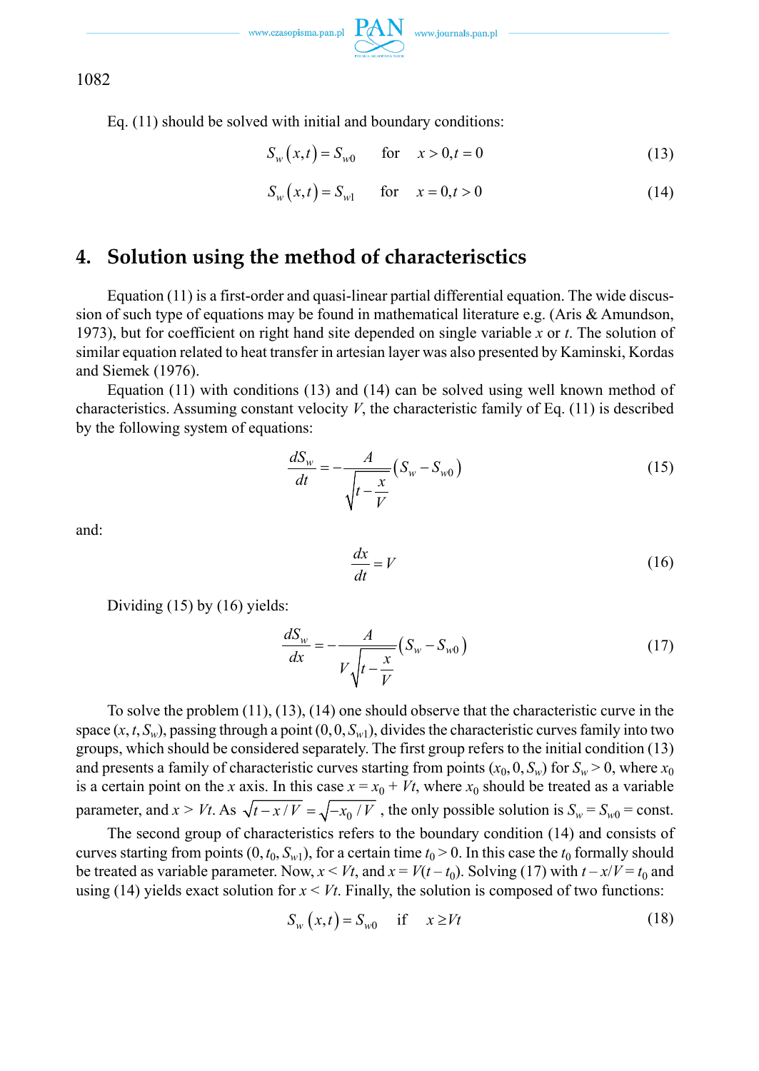

1082

Eq. (11) should be solved with initial and boundary conditions:

$$
S_w(x,t) = S_{w0} \qquad \text{for} \quad x > 0, t = 0 \tag{13}
$$

$$
S_w(x,t) = S_{w1} \qquad \text{for} \quad x = 0, t > 0 \tag{14}
$$

# **4. Solution using the method of characterisctics**

Equation (11) is a first-order and quasi-linear partial differential equation. The wide discussion of such type of equations may be found in mathematical literature e.g. (Aris & Amundson, 1973), but for coefficient on right hand site depended on single variable *x* or *t*. The solution of similar equation related to heat transfer in artesian layer was also presented by Kaminski, Kordas and Siemek (1976).

Equation (11) with conditions (13) and (14) can be solved using well known method of characteristics. Assuming constant velocity *V*, the characteristic family of Eq. (11) is described by the following system of equations:

$$
\frac{dS_w}{dt} = -\frac{A}{\sqrt{t - \frac{x}{V}}} \left( S_w - S_{w0} \right) \tag{15}
$$

and:

$$
\frac{dx}{dt} = V\tag{16}
$$

Dividing (15) by (16) yields:

$$
\frac{dS_w}{dx} = -\frac{A}{V\sqrt{t - \frac{x}{V}}} \left( S_w - S_{w0} \right) \tag{17}
$$

To solve the problem (11), (13), (14) one should observe that the characteristic curve in the space  $(x, t, S_w)$ , passing through a point  $(0, 0, S_w)$ , divides the characteristic curves family into two groups, which should be considered separately. The first group refers to the initial condition (13) and presents a family of characteristic curves starting from points  $(x_0, 0, S_w)$  for  $S_w > 0$ , where  $x_0$ is a certain point on the *x* axis. In this case  $x = x_0 + Vt$ , where  $x_0$  should be treated as a variable parameter, and  $x > Vt$ . As  $\sqrt{t - x/V} = \sqrt{-x_0/V}$ , the only possible solution is  $S_w = S_{w0}$  = const.

The second group of characteristics refers to the boundary condition (14) and consists of curves starting from points  $(0, t_0, S_w)$ , for a certain time  $t_0 > 0$ . In this case the  $t_0$  formally should be treated as variable parameter. Now,  $x \leq Vt$ , and  $x = V(t - t_0)$ . Solving (17) with  $t - x/V = t_0$  and using (14) yields exact solution for  $x \leq Vt$ . Finally, the solution is composed of two functions:

$$
S_w(x,t) = S_{w0} \quad \text{if} \quad x \ge Vt \tag{18}
$$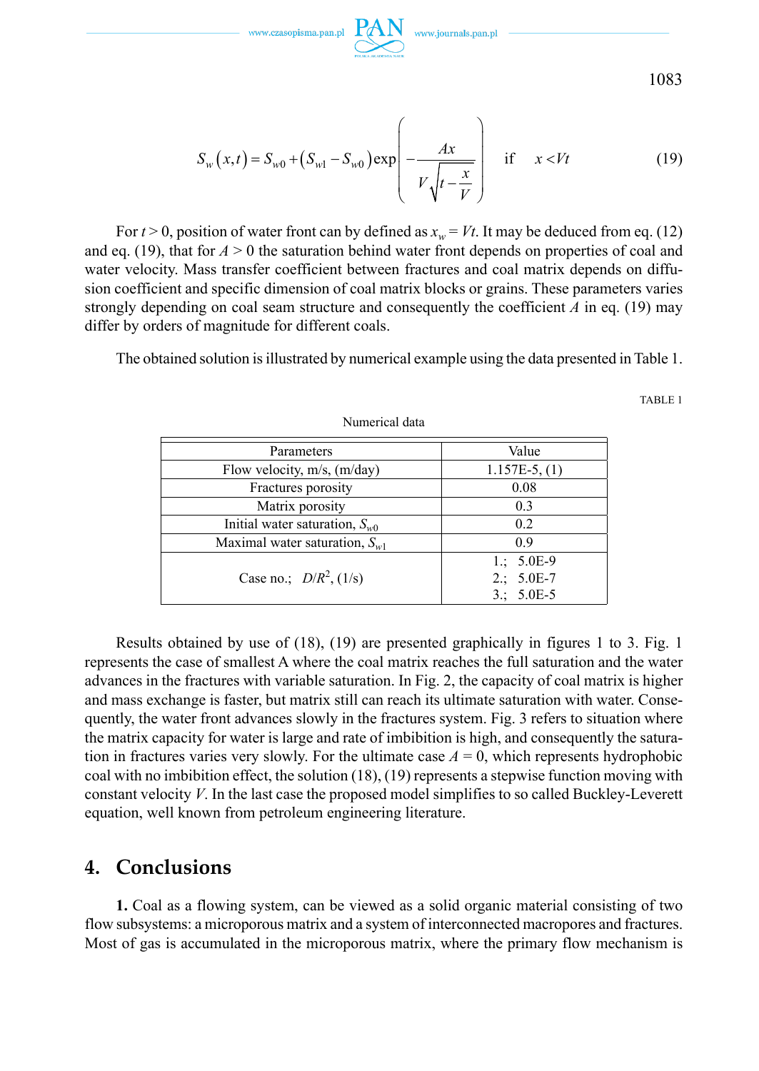www.czasopisma.pan.pl

1083

TABLE 1

$$
S_w(x,t) = S_{w0} + (S_{w1} - S_{w0}) \exp\left(-\frac{Ax}{V\sqrt{t - \frac{x}{V}}}\right) \quad \text{if} \quad x < Vt \tag{19}
$$

www.journals.pan.pl

For  $t > 0$ , position of water front can by defined as  $x_w = Vt$ . It may be deduced from eq. (12) and eq. (19), that for  $A > 0$  the saturation behind water front depends on properties of coal and water velocity. Mass transfer coefficient between fractures and coal matrix depends on diffusion coefficient and specific dimension of coal matrix blocks or grains. These parameters varies strongly depending on coal seam structure and consequently the coefficient *A* in eq. (19) may differ by orders of magnitude for different coals.

The obtained solution is illustrated by numerical example using the data presented in Table 1.

| Parameters                         | Value              |
|------------------------------------|--------------------|
| Flow velocity, $m/s$ , $(m/day)$   | $1.157E-5$ , $(1)$ |
| Fractures porosity                 | 0.08               |
| Matrix porosity                    | 0.3                |
| Initial water saturation, $S_{w0}$ | 0.2                |
| Maximal water saturation, $S_{w1}$ | 09                 |
| Case no.; $D/R^2$ , (1/s)          | 1.; $5.0E-9$       |
|                                    | $2: 5.0E-7$        |
|                                    | $3.75.0E-5$        |

Numerical data

Results obtained by use of (18), (19) are presented graphically in figures 1 to 3. Fig. 1 represents the case of smallest A where the coal matrix reaches the full saturation and the water advances in the fractures with variable saturation. In Fig. 2, the capacity of coal matrix is higher and mass exchange is faster, but matrix still can reach its ultimate saturation with water. Consequently, the water front advances slowly in the fractures system. Fig. 3 refers to situation where the matrix capacity for water is large and rate of imbibition is high, and consequently the saturation in fractures varies very slowly. For the ultimate case  $A = 0$ , which represents hydrophobic coal with no imbibition effect, the solution (18), (19) represents a stepwise function moving with constant velocity *V*. In the last case the proposed model simplifies to so called Buckley-Leverett equation, well known from petroleum engineering literature.

## **4. Conclusions**

**1.** Coal as a flowing system, can be viewed as a solid organic material consisting of two flow subsystems: a microporous matrix and a system of interconnected macropores and fractures. Most of gas is accumulated in the microporous matrix, where the primary flow mechanism is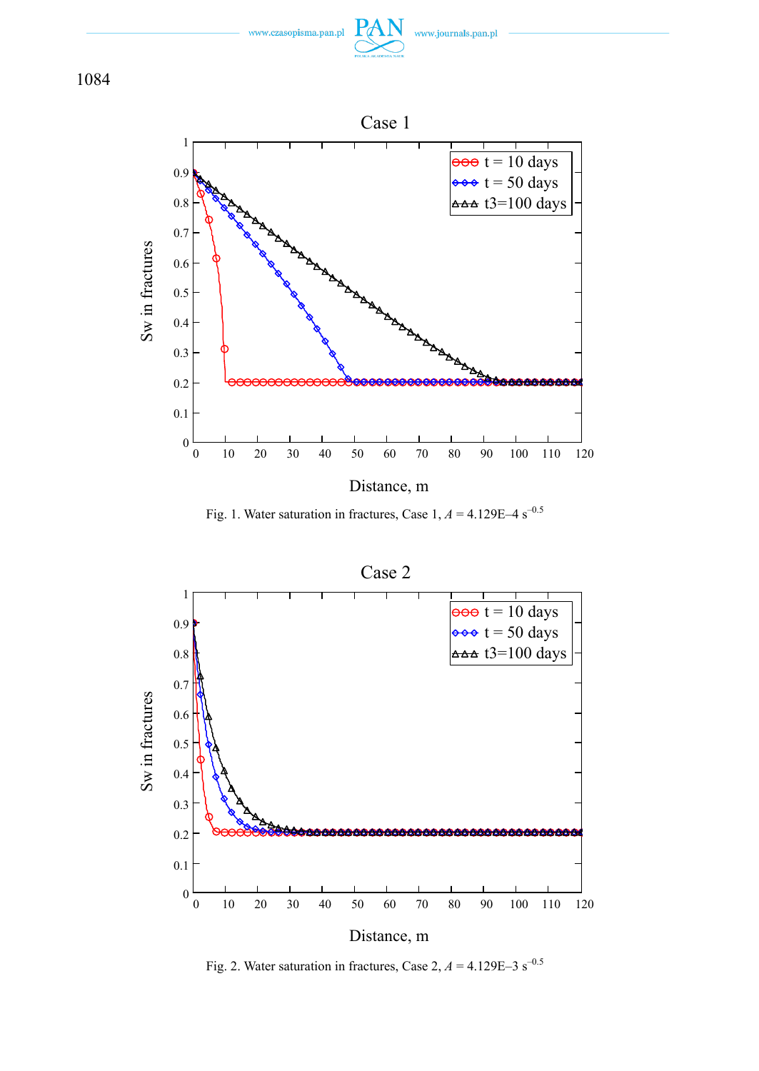

1084



Fig. 1. Water saturation in fractures, Case 1,  $A = 4.129E-4 s^{-0.5}$ 



Fig. 2. Water saturation in fractures, Case 2,  $A = 4.129E - 3 s^{-0.5}$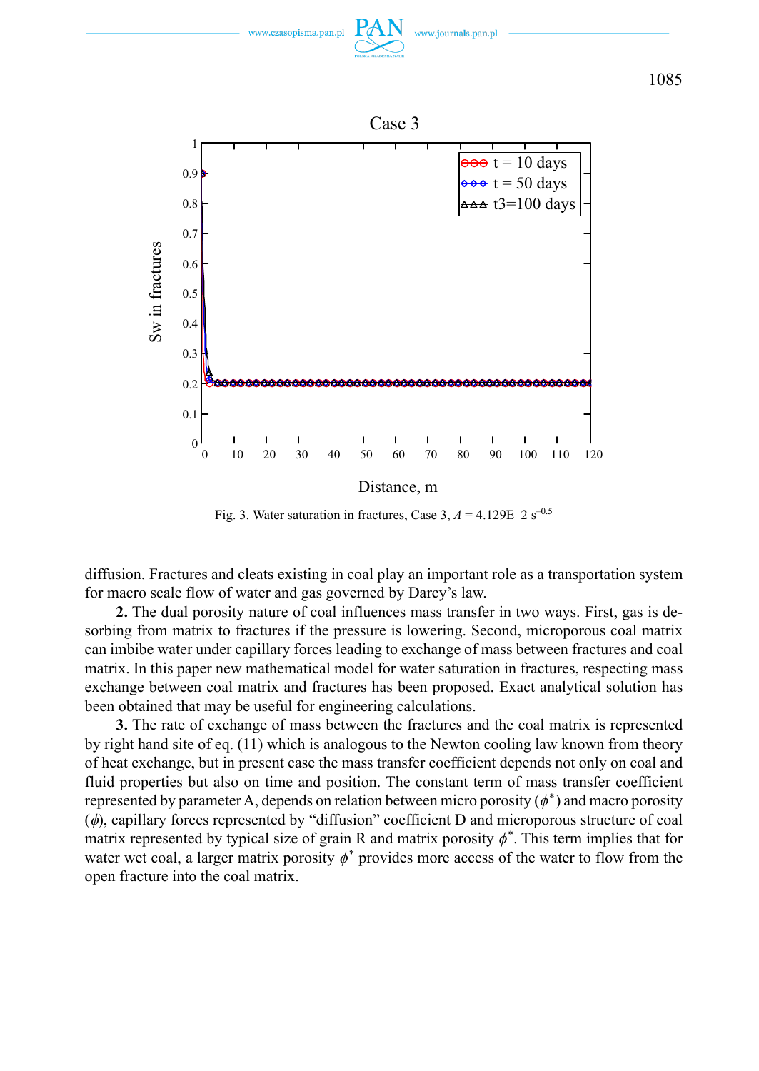





Fig. 3. Water saturation in fractures, Case 3,  $A = 4.129E-2 s^{-0.5}$ 

diffusion. Fractures and cleats existing in coal play an important role as a transportation system for macro scale flow of water and gas governed by Darcy's law.

**2.** The dual porosity nature of coal influences mass transfer in two ways. First, gas is desorbing from matrix to fractures if the pressure is lowering. Second, microporous coal matrix can imbibe water under capillary forces leading to exchange of mass between fractures and coal matrix. In this paper new mathematical model for water saturation in fractures, respecting mass exchange between coal matrix and fractures has been proposed. Exact analytical solution has been obtained that may be useful for engineering calculations.

**3.** The rate of exchange of mass between the fractures and the coal matrix is represented by right hand site of eq. (11) which is analogous to the Newton cooling law known from theory of heat exchange, but in present case the mass transfer coefficient depends not only on coal and fluid properties but also on time and position. The constant term of mass transfer coefficient represented by parameter A, depends on relation between micro porosity ( $\phi^*$ ) and macro porosity  $(\phi)$ , capillary forces represented by "diffusion" coefficient D and microporous structure of coal matrix represented by typical size of grain R and matrix porosity  $\phi^*$ . This term implies that for water wet coal, a larger matrix porosity  $\phi^*$  provides more access of the water to flow from the open fracture into the coal matrix.